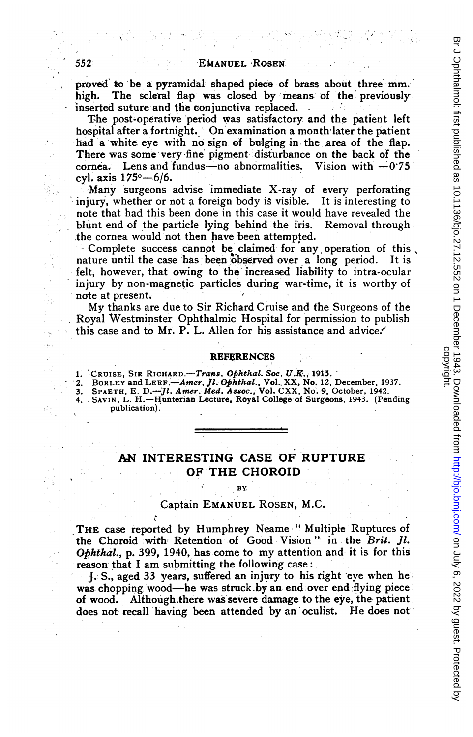proved to be a- pyramidal shaped piece of brss about three mm. high. The scleral flap was closed by means of the previously inserted suture and the conjunctiva replaced.

The post-operative period was satisfactory and the patient left hospital after a fortnight. On examination <sup>a</sup> month'later the patient had a white eye with no sign of bulging in the area of the flap. There was some very fine pigment disturbance on the back of the cornea. Lens and fundus-no abnormalities. Vision with  $-0.75$ cyl. axis  $175^{\circ} - 6/6$ .

Many surgeons advise immediate X-ray of every perforating injury, whether or not a foreign body is visible. It is interesting to note that had this been done in this case it would have revealed the blunt end of the particle lying behind the iris. Removal through the cornea would not then have been attempted.

Complete success cannot be claimed for any operation of this nature until the case has been observed over a long period. It is felt, however, that owing to the increased liability to intra-ocular injury by non-magnetic particles during war-time, it is worthy of note at present.

My thanks are due to Sir Richard Cruise and the Surgeons of the Royal Westminster Ophthalmic Hospital for permission to publish this case and to Mr. P. L. Allen for his assistance and advice.

### REFERENCES

1. CRUISE, SIR RICHARD.—*Trans, Ophthal. Soc. U.K.*, 1915. `<br>2. BORLEY and LEEF.—*Amer, Jl. Ophthal.*, Vol. XX, No. 12, December, 1937.<br>3. SPAETH, E. D.—J*l. Amer. Med. Assoc.*, Vol. CXX, No. 9, October, 1942.<br>4. SAVIN, L. publication).

# .AN INTERESTING CASE OF RUPTURE OF THE CHOROID

#### BY

### Captain EMANUEL ROSEN, M.C.

THE case reported by Humphrey Neame "Multiple Ruptures of the Choroid with Retention of Good Vision" in the Brit. Jl. Ophthal., p. 399, 1940, has come to my attention and it is for this reason that I am submitting the following case:

J. S., aged 33 years, suffered an injury to his tight eye when he was chopping wood—he was struck by an end over end flying piece of wood. Although there was severe damage to the eye, the patient. does not recall having been attended by an oculist. He does not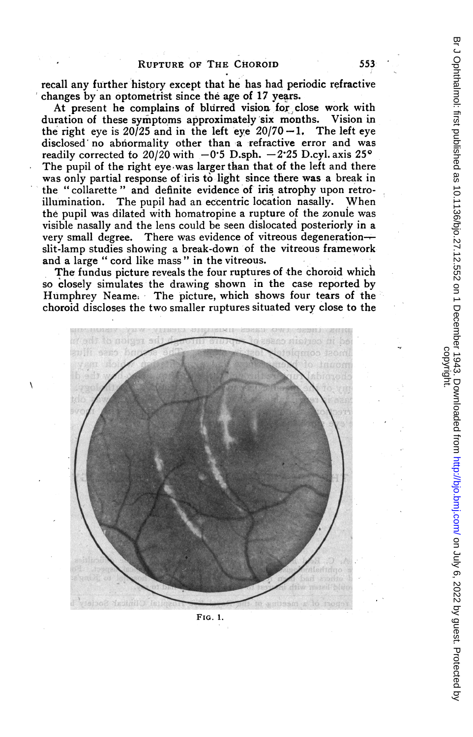recall any further history except that he has had periodic refractive changes by an optometrist since the age of 17 years.

At present he complains of blurred vision for close work with ration of these symptoms approximately six months. Vision in duration of these symptoms approximately six months. Vision in the right eve is  $20/25$  and in the left eve  $20/70 - 1$ . The left eve the right eye is 20/25 and in the left eye  $20/70 - 1$ . disclosed' no abnormality other than a refractive error and was readily corrected to 20/20 with  $-0.5$  D.sph.  $-2.25$  D.cyl. axis 25° The pupil of the right eye was larger than that of the left and there was only partial response of iris to light since there was a break in the "collarette" and definite evidence of iris atrophy upon retroillumination. The pupil had an eccentric location nasally. When the pupil was dilated with homatropine a rupture of the zonule was visible nasally and the lens could be seen dislocated posteriorly in a<br>very small degree. There was evidence of vitreous degeneration— There was evidence of vitreous degeneration-slit-lamp studies showing a break-down of the vitreous framework and a large " cord like mass " in the vitreous.

The fundus picture reveals the four ruptures of the choroid which so closely simulates the drawing shown in the case reported by Humphrey Neame. The picture, which shows four tears of the choroid discloses the two smaller ruptures situated very close to the



FIG. 1.